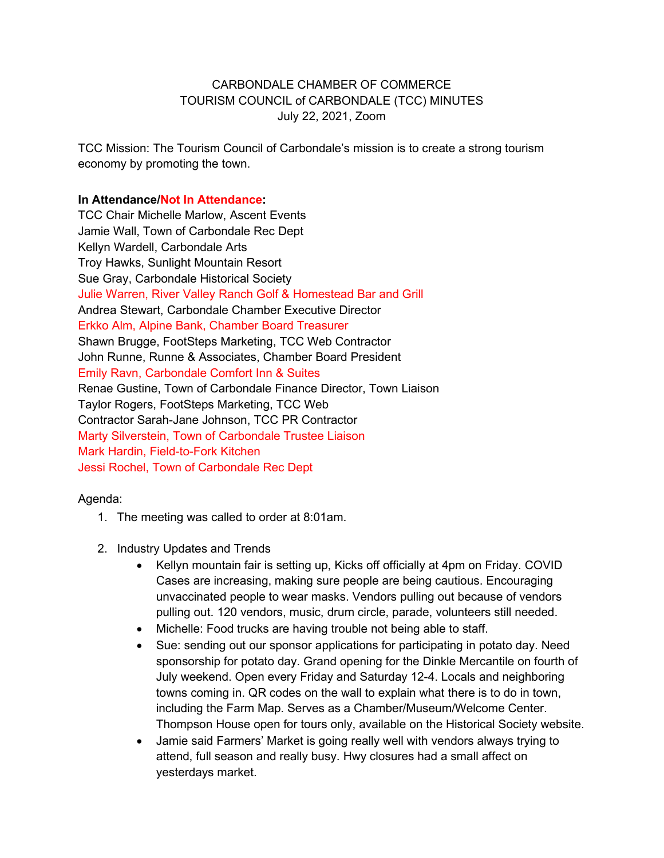## CARBONDALE CHAMBER OF COMMERCE TOURISM COUNCIL of CARBONDALE (TCC) MINUTES July 22, 2021, Zoom

TCC Mission: The Tourism Council of Carbondale's mission is to create a strong tourism economy by promoting the town.

## **In Attendance/Not In Attendance:**

TCC Chair Michelle Marlow, Ascent Events Jamie Wall, Town of Carbondale Rec Dept Kellyn Wardell, Carbondale Arts Troy Hawks, Sunlight Mountain Resort Sue Gray, Carbondale Historical Society Julie Warren, River Valley Ranch Golf & Homestead Bar and Grill Andrea Stewart, Carbondale Chamber Executive Director Erkko Alm, Alpine Bank, Chamber Board Treasurer Shawn Brugge, FootSteps Marketing, TCC Web Contractor John Runne, Runne & Associates, Chamber Board President Emily Ravn, Carbondale Comfort Inn & Suites Renae Gustine, Town of Carbondale Finance Director, Town Liaison Taylor Rogers, FootSteps Marketing, TCC Web Contractor Sarah-Jane Johnson, TCC PR Contractor Marty Silverstein, Town of Carbondale Trustee Liaison Mark Hardin, Field-to-Fork Kitchen Jessi Rochel, Town of Carbondale Rec Dept

#### Agenda:

- 1. The meeting was called to order at 8:01am.
- 2. Industry Updates and Trends
	- Kellyn mountain fair is setting up, Kicks off officially at 4pm on Friday. COVID Cases are increasing, making sure people are being cautious. Encouraging unvaccinated people to wear masks. Vendors pulling out because of vendors pulling out. 120 vendors, music, drum circle, parade, volunteers still needed.
	- Michelle: Food trucks are having trouble not being able to staff.
	- Sue: sending out our sponsor applications for participating in potato day. Need sponsorship for potato day. Grand opening for the Dinkle Mercantile on fourth of July weekend. Open every Friday and Saturday 12-4. Locals and neighboring towns coming in. QR codes on the wall to explain what there is to do in town, including the Farm Map. Serves as a Chamber/Museum/Welcome Center. Thompson House open for tours only, available on the Historical Society website.
	- Jamie said Farmers' Market is going really well with vendors always trying to attend, full season and really busy. Hwy closures had a small affect on yesterdays market.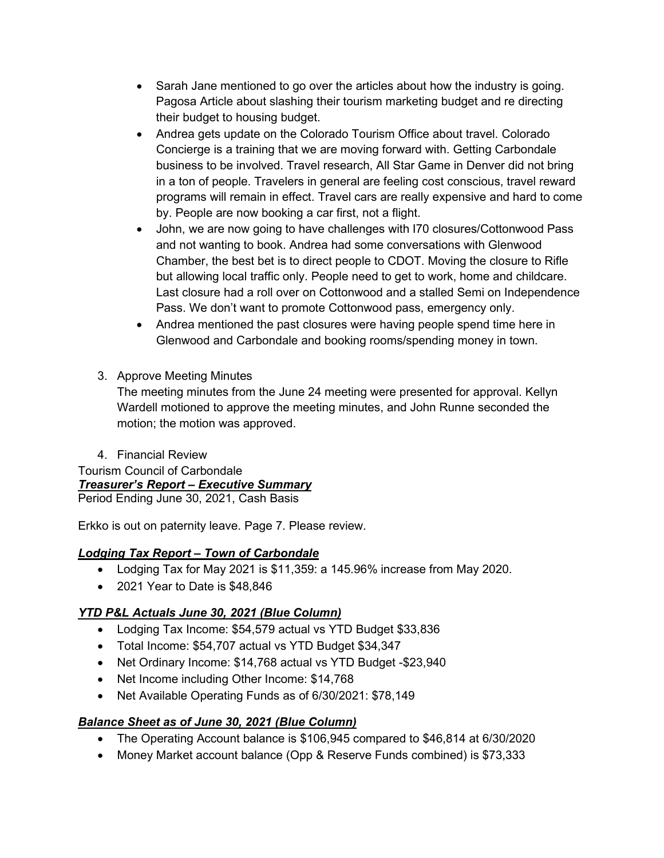- Sarah Jane mentioned to go over the articles about how the industry is going. Pagosa Article about slashing their tourism marketing budget and re directing their budget to housing budget.
- Andrea gets update on the Colorado Tourism Office about travel. Colorado Concierge is a training that we are moving forward with. Getting Carbondale business to be involved. Travel research, All Star Game in Denver did not bring in a ton of people. Travelers in general are feeling cost conscious, travel reward programs will remain in effect. Travel cars are really expensive and hard to come by. People are now booking a car first, not a flight.
- John, we are now going to have challenges with I70 closures/Cottonwood Pass and not wanting to book. Andrea had some conversations with Glenwood Chamber, the best bet is to direct people to CDOT. Moving the closure to Rifle but allowing local traffic only. People need to get to work, home and childcare. Last closure had a roll over on Cottonwood and a stalled Semi on Independence Pass. We don't want to promote Cottonwood pass, emergency only.
- Andrea mentioned the past closures were having people spend time here in Glenwood and Carbondale and booking rooms/spending money in town.
- 3. Approve Meeting Minutes

The meeting minutes from the June 24 meeting were presented for approval. Kellyn Wardell motioned to approve the meeting minutes, and John Runne seconded the motion; the motion was approved.

4. Financial Review

Tourism Council of Carbondale *Treasurer's Report – Executive Summary*

Period Ending June 30, 2021, Cash Basis

Erkko is out on paternity leave. Page 7. Please review.

# *Lodging Tax Report – Town of Carbondale*

- Lodging Tax for May 2021 is \$11,359: a 145.96% increase from May 2020.
- 2021 Year to Date is \$48,846

# *YTD P&L Actuals June 30, 2021 (Blue Column)*

- Lodging Tax Income: \$54,579 actual vs YTD Budget \$33,836
- Total Income: \$54,707 actual vs YTD Budget \$34,347
- Net Ordinary Income: \$14,768 actual vs YTD Budget -\$23,940
- Net Income including Other Income: \$14,768
- Net Available Operating Funds as of 6/30/2021: \$78,149

# *Balance Sheet as of June 30, 2021 (Blue Column)*

- The Operating Account balance is \$106,945 compared to \$46,814 at 6/30/2020
- Money Market account balance (Opp & Reserve Funds combined) is \$73,333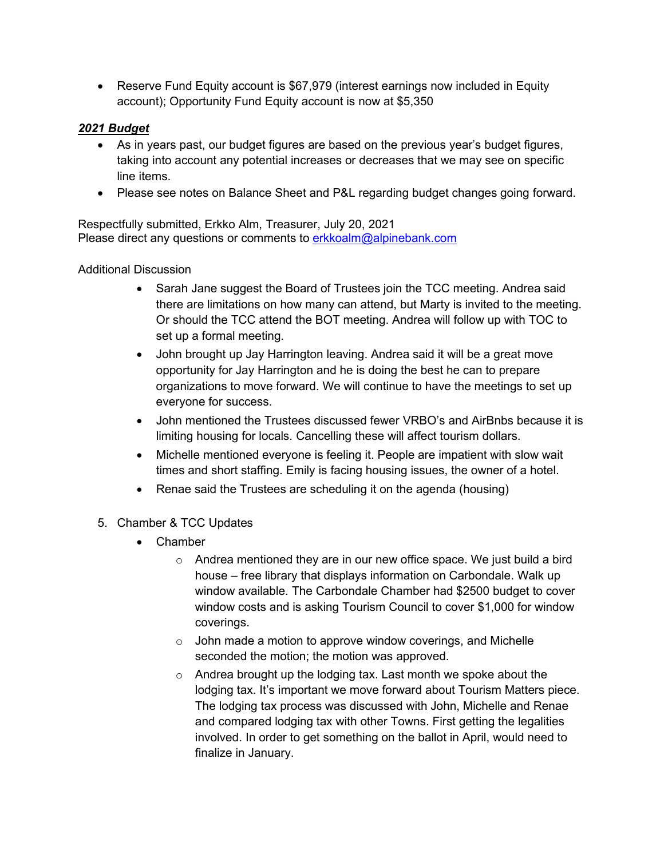• Reserve Fund Equity account is \$67,979 (interest earnings now included in Equity account); Opportunity Fund Equity account is now at \$5,350

# *2021 Budget*

- As in years past, our budget figures are based on the previous year's budget figures, taking into account any potential increases or decreases that we may see on specific line items.
- Please see notes on Balance Sheet and P&L regarding budget changes going forward.

Respectfully submitted, Erkko Alm, Treasurer, July 20, 2021 Please direct any questions or comments to erkkoalm@alpinebank.com

## Additional Discussion

- Sarah Jane suggest the Board of Trustees join the TCC meeting. Andrea said there are limitations on how many can attend, but Marty is invited to the meeting. Or should the TCC attend the BOT meeting. Andrea will follow up with TOC to set up a formal meeting.
- John brought up Jay Harrington leaving. Andrea said it will be a great move opportunity for Jay Harrington and he is doing the best he can to prepare organizations to move forward. We will continue to have the meetings to set up everyone for success.
- John mentioned the Trustees discussed fewer VRBO's and AirBnbs because it is limiting housing for locals. Cancelling these will affect tourism dollars.
- Michelle mentioned everyone is feeling it. People are impatient with slow wait times and short staffing. Emily is facing housing issues, the owner of a hotel.
- Renae said the Trustees are scheduling it on the agenda (housing)
- 5. Chamber & TCC Updates
	- Chamber
		- o Andrea mentioned they are in our new office space. We just build a bird house – free library that displays information on Carbondale. Walk up window available. The Carbondale Chamber had \$2500 budget to cover window costs and is asking Tourism Council to cover \$1,000 for window coverings.
		- $\circ$  John made a motion to approve window coverings, and Michelle seconded the motion; the motion was approved.
		- o Andrea brought up the lodging tax. Last month we spoke about the lodging tax. It's important we move forward about Tourism Matters piece. The lodging tax process was discussed with John, Michelle and Renae and compared lodging tax with other Towns. First getting the legalities involved. In order to get something on the ballot in April, would need to finalize in January.